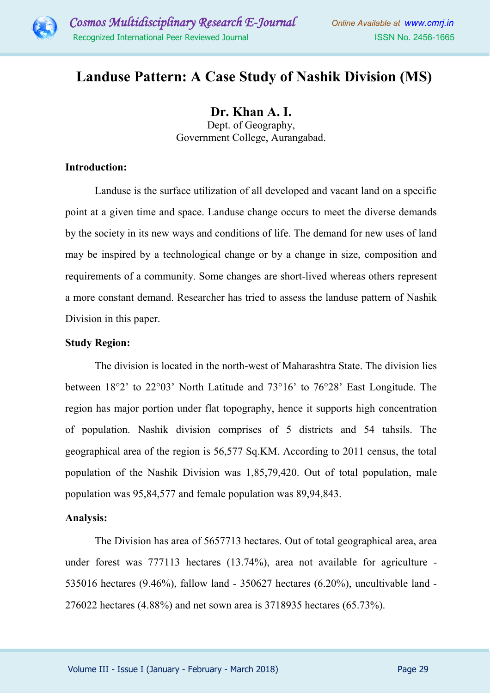

# **Landuse Pattern: A Case Study of Nashik Division (MS)**

**Dr. Khan A. I.**  Dept. of Geography, Government College, Aurangabad.

#### **Introduction:**

Landuse is the surface utilization of all developed and vacant land on a specific point at a given time and space. Landuse change occurs to meet the diverse demands by the society in its new ways and conditions of life. The demand for new uses of land may be inspired by a technological change or by a change in size, composition and requirements of a community. Some changes are short-lived whereas others represent a more constant demand. Researcher has tried to assess the landuse pattern of Nashik Division in this paper.

#### **Study Region:**

The division is located in the north-west of Maharashtra State. The division lies between 18°2' to 22°03' North Latitude and 73°16' to 76°28' East Longitude. The region has major portion under flat topography, hence it supports high concentration of population. Nashik division comprises of 5 districts and 54 tahsils. The geographical area of the region is 56,577 Sq.KM. According to 2011 census, the total population of the Nashik Division was 1,85,79,420. Out of total population, male population was 95,84,577 and female population was 89,94,843.

#### **Analysis:**

The Division has area of 5657713 hectares. Out of total geographical area, area under forest was 777113 hectares (13.74%), area not available for agriculture - 535016 hectares (9.46%), fallow land - 350627 hectares (6.20%), uncultivable land - 276022 hectares (4.88%) and net sown area is 3718935 hectares (65.73%).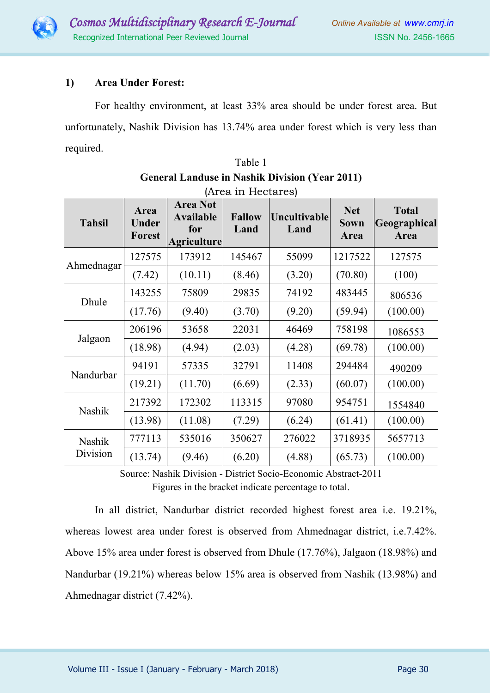

# **1) Area Under Forest:**

For healthy environment, at least 33% area should be under forest area. But unfortunately, Nashik Division has 13.74% area under forest which is very less than required.

| <b>Tahsil</b>             | Area<br>Under<br><b>Forest</b> | <b>Area Not</b><br><b>Available</b><br>for<br><b>Agriculture</b> | <b>Fallow</b><br>Land | <b>Uncultivable</b><br>Land | <b>Net</b><br><b>Sown</b><br>Area | <b>Total</b><br>Geographical<br>Area |
|---------------------------|--------------------------------|------------------------------------------------------------------|-----------------------|-----------------------------|-----------------------------------|--------------------------------------|
| Ahmednagar                | 127575                         | 173912                                                           | 145467                | 55099                       | 1217522                           | 127575                               |
|                           | (7.42)                         | (10.11)                                                          | (8.46)                | (3.20)                      | (70.80)                           | (100)                                |
| Dhule                     | 143255                         | 75809                                                            | 29835                 | 74192                       | 483445                            | 806536                               |
|                           | (17.76)                        | (9.40)                                                           | (3.70)                | (9.20)                      | (59.94)                           | (100.00)                             |
| Jalgaon                   | 206196                         | 53658                                                            | 22031                 | 46469                       | 758198                            | 1086553                              |
|                           | (18.98)                        | (4.94)                                                           | (2.03)                | (4.28)                      | (69.78)                           | (100.00)                             |
| Nandurbar                 | 94191                          | 57335                                                            | 32791                 | 11408                       | 294484                            | 490209                               |
|                           | (19.21)                        | (11.70)                                                          | (6.69)                | (2.33)                      | (60.07)                           | (100.00)                             |
| Nashik                    | 217392                         | 172302                                                           | 113315                | 97080                       | 954751                            | 1554840                              |
|                           | (13.98)                        | (11.08)                                                          | (7.29)                | (6.24)                      | (61.41)                           | (100.00)                             |
| <b>Nashik</b><br>Division | 777113                         | 535016                                                           | 350627                | 276022                      | 3718935                           | 5657713                              |
|                           | (13.74)                        | (9.46)                                                           | (6.20)                | (4.88)                      | (65.73)                           | (100.00)                             |

| Table 1                                               |
|-------------------------------------------------------|
| <b>General Landuse in Nashik Division (Year 2011)</b> |
| $(\Lambda_{\text{non}})$ in $\text{H}_{\text{non}}$   |

Source: Nashik Division - District Socio-Economic Abstract-2011 Figures in the bracket indicate percentage to total.

In all district, Nandurbar district recorded highest forest area i.e. 19.21%, whereas lowest area under forest is observed from Ahmednagar district, i.e.7.42%. Above 15% area under forest is observed from Dhule (17.76%), Jalgaon (18.98%) and Nandurbar (19.21%) whereas below 15% area is observed from Nashik (13.98%) and Ahmednagar district (7.42%).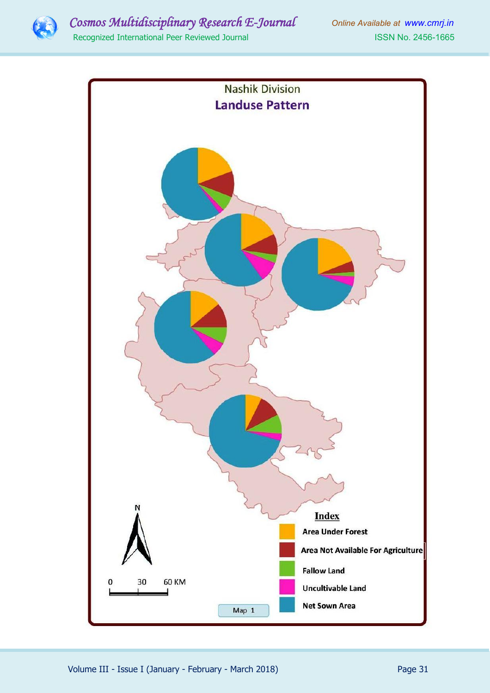

# *Cosmos Multidisciplinary Research E-Journal Online Available at www.cmrj.in*

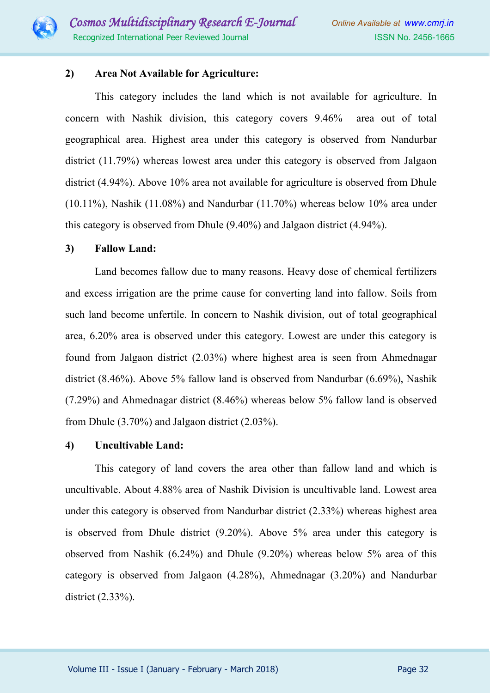

### **2) Area Not Available for Agriculture:**

This category includes the land which is not available for agriculture. In concern with Nashik division, this category covers 9.46% area out of total geographical area. Highest area under this category is observed from Nandurbar district (11.79%) whereas lowest area under this category is observed from Jalgaon district (4.94%). Above 10% area not available for agriculture is observed from Dhule (10.11%), Nashik (11.08%) and Nandurbar (11.70%) whereas below 10% area under this category is observed from Dhule (9.40%) and Jalgaon district (4.94%).

#### **3) Fallow Land:**

Land becomes fallow due to many reasons. Heavy dose of chemical fertilizers and excess irrigation are the prime cause for converting land into fallow. Soils from such land become unfertile. In concern to Nashik division, out of total geographical area, 6.20% area is observed under this category. Lowest are under this category is found from Jalgaon district (2.03%) where highest area is seen from Ahmednagar district (8.46%). Above 5% fallow land is observed from Nandurbar (6.69%), Nashik (7.29%) and Ahmednagar district (8.46%) whereas below 5% fallow land is observed from Dhule (3.70%) and Jalgaon district (2.03%).

#### **4) Uncultivable Land:**

This category of land covers the area other than fallow land and which is uncultivable. About 4.88% area of Nashik Division is uncultivable land. Lowest area under this category is observed from Nandurbar district (2.33%) whereas highest area is observed from Dhule district (9.20%). Above 5% area under this category is observed from Nashik (6.24%) and Dhule (9.20%) whereas below 5% area of this category is observed from Jalgaon (4.28%), Ahmednagar (3.20%) and Nandurbar district (2.33%).